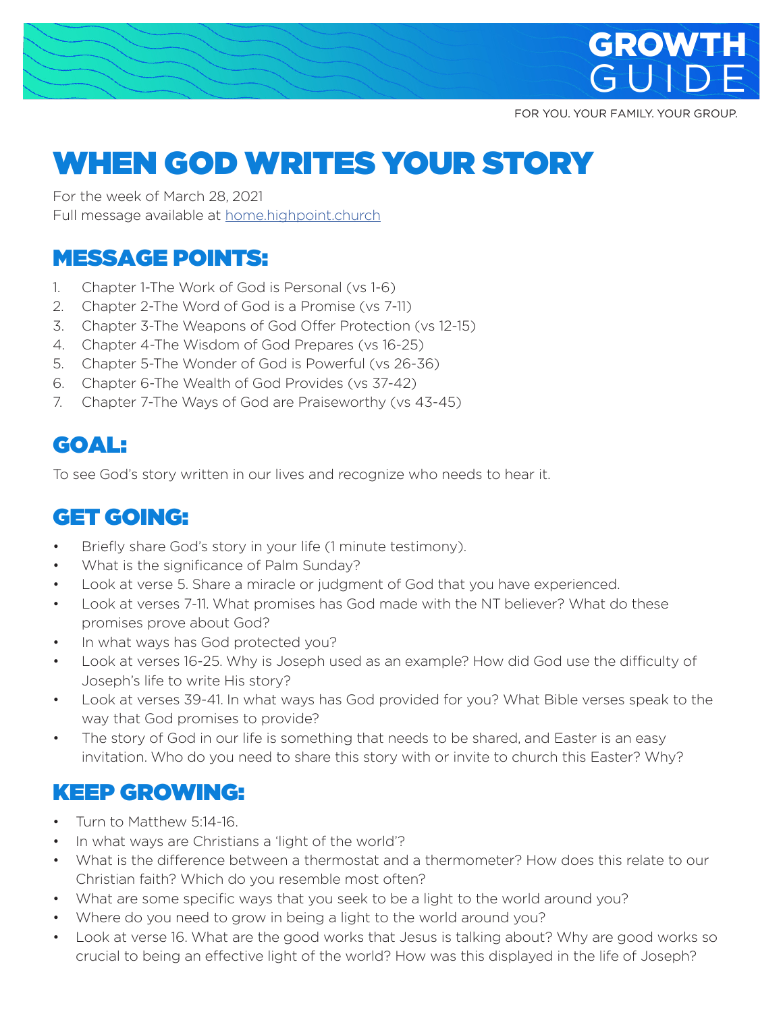

FOR YOU. YOUR FAMILY. YOUR GROUP.

# WHEN GOD WRITES YOUR STORY

For the week of March 28, 2021 Full message available at home.highpoint.church

# MESSAGE POINTS:

- 1. Chapter 1-The Work of God is Personal (vs 1-6)
- 2. Chapter 2-The Word of God is a Promise (vs 7-11)
- 3. Chapter 3-The Weapons of God Offer Protection (vs 12-15)
- 4. Chapter 4-The Wisdom of God Prepares (vs 16-25)
- 5. Chapter 5-The Wonder of God is Powerful (vs 26-36)
- 6. Chapter 6-The Wealth of God Provides (vs 37-42)
- 7. Chapter 7-The Ways of God are Praiseworthy (vs 43-45)

# GOAL:

To see God's story written in our lives and recognize who needs to hear it.

# GET GOING:

- Briefly share God's story in your life (1 minute testimony).
- What is the significance of Palm Sunday?
- Look at verse 5. Share a miracle or judgment of God that you have experienced.
- Look at verses 7-11. What promises has God made with the NT believer? What do these promises prove about God?
- In what ways has God protected you?
- Look at verses 16-25. Why is Joseph used as an example? How did God use the difficulty of Joseph's life to write His story?
- Look at verses 39-41. In what ways has God provided for you? What Bible verses speak to the way that God promises to provide?
- The story of God in our life is something that needs to be shared, and Easter is an easy invitation. Who do you need to share this story with or invite to church this Easter? Why?

### KEEP GROWING:

- Turn to Matthew 5:14-16.
- In what ways are Christians a 'light of the world'?
- What is the difference between a thermostat and a thermometer? How does this relate to our Christian faith? Which do you resemble most often?
- What are some specific ways that you seek to be a light to the world around you?
- Where do you need to grow in being a light to the world around you?
- Look at verse 16. What are the good works that Jesus is talking about? Why are good works so crucial to being an effective light of the world? How was this displayed in the life of Joseph?